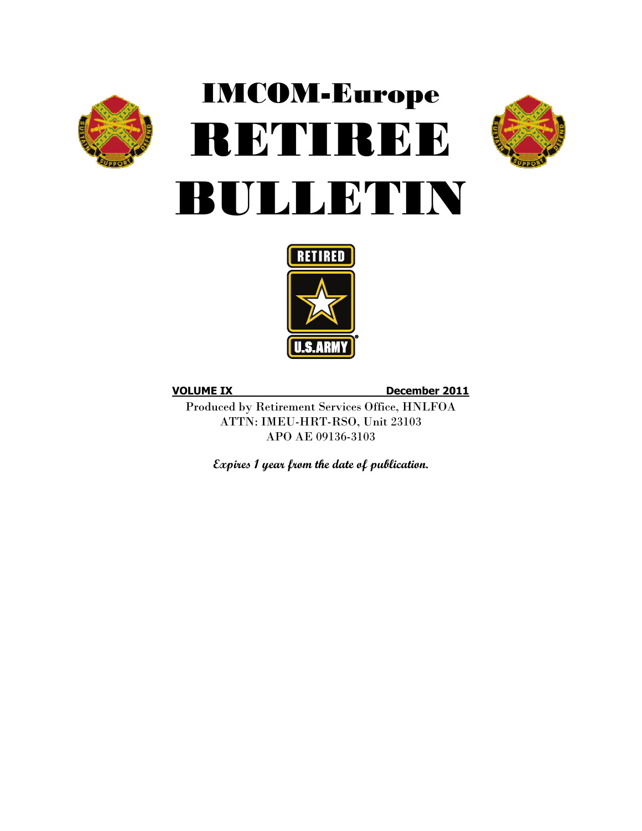

# IMCOM-Europe RETIREE BULLETIN





**VOLUME IX December 2011**

Produced by Retirement Services Office, HNLFOA ATTN: IMEU-HRT-RSO, Unit 23103 APO AE 09136-3103

**Expires 1 year from the date of publication.**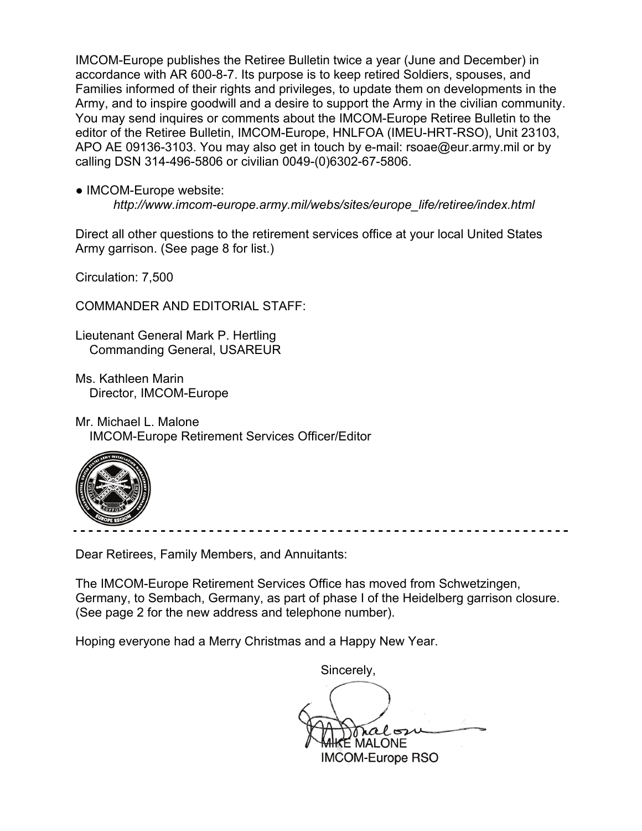IMCOM-Europe publishes the Retiree Bulletin twice a year (June and December) in accordance with AR 600-8-7. Its purpose is to keep retired Soldiers, spouses, and Families informed of their rights and privileges, to update them on developments in the Army, and to inspire goodwill and a desire to support the Army in the civilian community. You may send inquires or comments about the IMCOM-Europe Retiree Bulletin to the editor of the Retiree Bulletin, IMCOM-Europe, HNLFOA (IMEU-HRT-RSO), Unit 23103, APO AE 09136-3103. You may also get in touch by e-mail: rsoae@eur.army.mil or by calling DSN 314-496-5806 or civilian 0049-(0)6302-67-5806.

• IMCOM-Europe website:

*http://www.imcom-europe.army.mil/webs/sites/europe\_life/retiree/index.html*

Direct all other questions to the retirement services office at your local United States Army garrison. (See page 8 for list.)

Circulation: 7,500

COMMANDER AND EDITORIAL STAFF:

Lieutenant General Mark P. Hertling Commanding General, USAREUR

Ms. Kathleen Marin Director, IMCOM-Europe

Mr. Michael L. Malone IMCOM-Europe Retirement Services Officer/Editor



Dear Retirees, Family Members, and Annuitants:

The IMCOM-Europe Retirement Services Office has moved from Schwetzingen, Germany, to Sembach, Germany, as part of phase I of the Heidelberg garrison closure. (See page 2 for the new address and telephone number).

Hoping everyone had a Merry Christmas and a Happy New Year.

 Sincerely,  $\mathsf E$  MALONE IMCOM-Europe RSO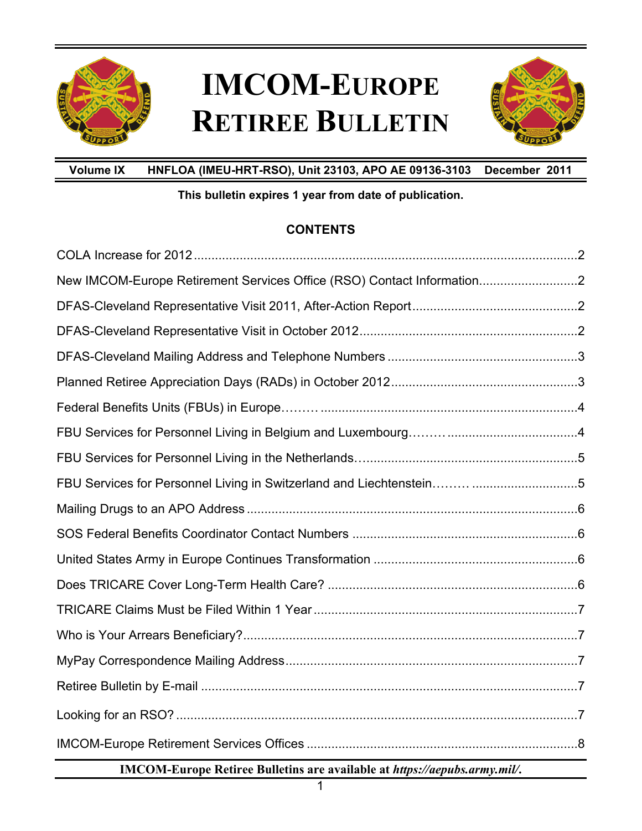

## **IMCOM-EUROPE RETIREE BULLETIN**



**Volume IX HNFLOA (IMEU-HRT-RSO), Unit 23103, APO AE 09136-3103 December 2011** 

### **This bulletin expires 1 year from date of publication.**

### **CONTENTS**

| New IMCOM-Europe Retirement Services Office (RSO) Contact Information2 |  |
|------------------------------------------------------------------------|--|
|                                                                        |  |
|                                                                        |  |
|                                                                        |  |
|                                                                        |  |
|                                                                        |  |
|                                                                        |  |
|                                                                        |  |
|                                                                        |  |
|                                                                        |  |
|                                                                        |  |
|                                                                        |  |
|                                                                        |  |
|                                                                        |  |
|                                                                        |  |
|                                                                        |  |
|                                                                        |  |
|                                                                        |  |
|                                                                        |  |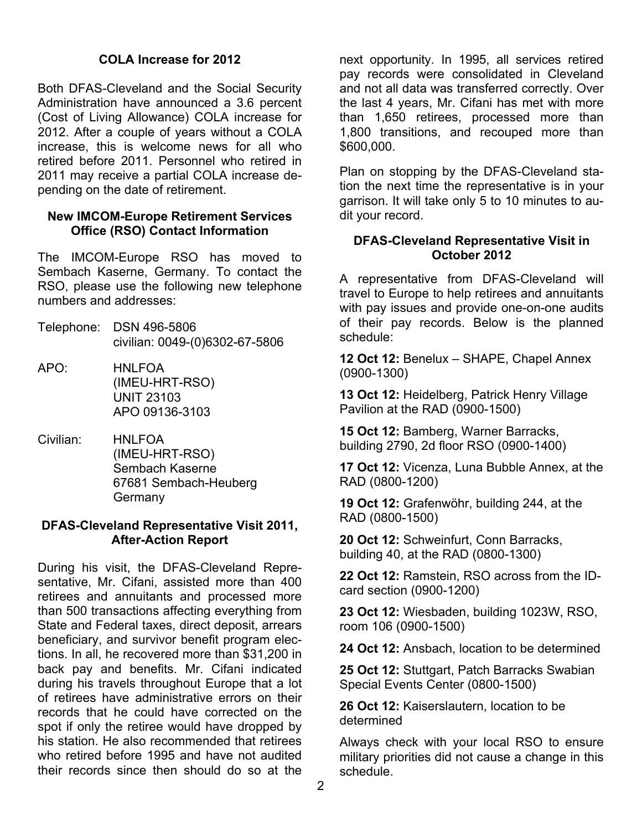#### **COLA Increase for 2012**

Both DFAS-Cleveland and the Social Security Administration have announced a 3.6 percent (Cost of Living Allowance) COLA increase for 2012. After a couple of years without a COLA increase, this is welcome news for all who retired before 2011. Personnel who retired in 2011 may receive a partial COLA increase depending on the date of retirement.

#### **New IMCOM-Europe Retirement Services Office (RSO) Contact Information**

The IMCOM-Europe RSO has moved to Sembach Kaserne, Germany. To contact the RSO, please use the following new telephone numbers and addresses:

- Telephone: DSN 496-5806 civilian: 0049-(0)6302-67-5806
- APO: HNLFOA (IMEU-HRT-RSO) UNIT 23103 APO 09136-3103
- Civilian: HNLFOA (IMEU-HRT-RSO) Sembach Kaserne 67681 Sembach-Heuberg Germany

#### **DFAS-Cleveland Representative Visit 2011, After-Action Report**

During his visit, the DFAS-Cleveland Representative, Mr. Cifani, assisted more than 400 retirees and annuitants and processed more than 500 transactions affecting everything from State and Federal taxes, direct deposit, arrears beneficiary, and survivor benefit program elections. In all, he recovered more than \$31,200 in back pay and benefits. Mr. Cifani indicated during his travels throughout Europe that a lot of retirees have administrative errors on their records that he could have corrected on the spot if only the retiree would have dropped by his station. He also recommended that retirees who retired before 1995 and have not audited their records since then should do so at the

next opportunity. In 1995, all services retired pay records were consolidated in Cleveland and not all data was transferred correctly. Over the last 4 years, Mr. Cifani has met with more than 1,650 retirees, processed more than 1,800 transitions, and recouped more than \$600,000.

Plan on stopping by the DFAS-Cleveland station the next time the representative is in your garrison. It will take only 5 to 10 minutes to audit your record.

#### **DFAS-Cleveland Representative Visit in October 2012**

A representative from DFAS-Cleveland will travel to Europe to help retirees and annuitants with pay issues and provide one-on-one audits of their pay records. Below is the planned schedule:

**12 Oct 12:** Benelux – SHAPE, Chapel Annex (0900-1300)

**13 Oct 12:** Heidelberg, Patrick Henry Village Pavilion at the RAD (0900-1500)

**15 Oct 12:** Bamberg, Warner Barracks, building 2790, 2d floor RSO (0900-1400)

**17 Oct 12:** Vicenza, Luna Bubble Annex, at the RAD (0800-1200)

**19 Oct 12:** Grafenwöhr, building 244, at the RAD (0800-1500)

**20 Oct 12:** Schweinfurt, Conn Barracks, building 40, at the RAD (0800-1300)

**22 Oct 12:** Ramstein, RSO across from the IDcard section (0900-1200)

**23 Oct 12:** Wiesbaden, building 1023W, RSO, room 106 (0900-1500)

**24 Oct 12:** Ansbach, location to be determined

**25 Oct 12:** Stuttgart, Patch Barracks Swabian Special Events Center (0800-1500)

**26 Oct 12:** Kaiserslautern, location to be determined

Always check with your local RSO to ensure military priorities did not cause a change in this schedule.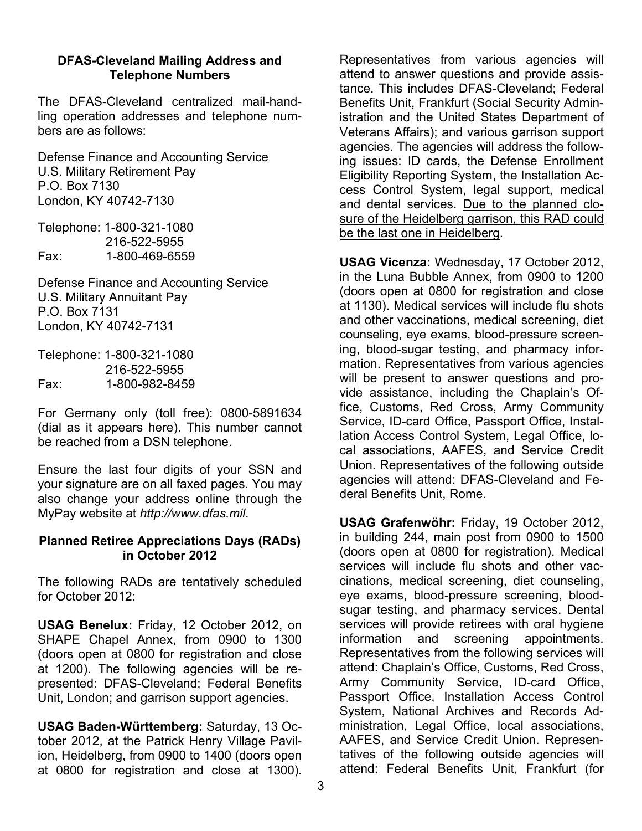#### **DFAS-Cleveland Mailing Address and Telephone Numbers**

The DFAS-Cleveland centralized mail-handling operation addresses and telephone numbers are as follows:

Defense Finance and Accounting Service U.S. Military Retirement Pay P.O. Box 7130 London, KY 40742-7130

Telephone: 1-800-321-1080 216-522-5955 Fax: 1-800-469-6559

Defense Finance and Accounting Service U.S. Military Annuitant Pay P.O. Box 7131 London, KY 40742-7131

Telephone: 1-800-321-1080 216-522-5955 Fax: 1-800-982-8459

For Germany only (toll free): 0800-5891634 (dial as it appears here). This number cannot be reached from a DSN telephone.

Ensure the last four digits of your SSN and your signature are on all faxed pages. You may also change your address online through the MyPay website at *http://www.dfas.mil*.

#### **Planned Retiree Appreciations Days (RADs) in October 2012**

The following RADs are tentatively scheduled for October 2012:

**USAG Benelux:** Friday, 12 October 2012, on SHAPE Chapel Annex, from 0900 to 1300 (doors open at 0800 for registration and close at 1200). The following agencies will be represented: DFAS-Cleveland; Federal Benefits Unit, London; and garrison support agencies.

**USAG Baden-Württemberg:** Saturday, 13 October 2012, at the Patrick Henry Village Pavilion, Heidelberg, from 0900 to 1400 (doors open at 0800 for registration and close at 1300).

Representatives from various agencies will attend to answer questions and provide assistance. This includes DFAS-Cleveland; Federal Benefits Unit, Frankfurt (Social Security Administration and the United States Department of Veterans Affairs); and various garrison support agencies. The agencies will address the following issues: ID cards, the Defense Enrollment Eligibility Reporting System, the Installation Access Control System, legal support, medical and dental services. Due to the planned closure of the Heidelberg garrison, this RAD could be the last one in Heidelberg.

**USAG Vicenza:** Wednesday, 17 October 2012, in the Luna Bubble Annex, from 0900 to 1200 (doors open at 0800 for registration and close at 1130). Medical services will include flu shots and other vaccinations, medical screening, diet counseling, eye exams, blood-pressure screening, blood-sugar testing, and pharmacy information. Representatives from various agencies will be present to answer questions and provide assistance, including the Chaplain's Office, Customs, Red Cross, Army Community Service, ID-card Office, Passport Office, Installation Access Control System, Legal Office, local associations, AAFES, and Service Credit Union. Representatives of the following outside agencies will attend: DFAS-Cleveland and Federal Benefits Unit, Rome.

**USAG Grafenwöhr:** Friday, 19 October 2012, in building 244, main post from 0900 to 1500 (doors open at 0800 for registration). Medical services will include flu shots and other vaccinations, medical screening, diet counseling, eye exams, blood-pressure screening, bloodsugar testing, and pharmacy services. Dental services will provide retirees with oral hygiene information and screening appointments. Representatives from the following services will attend: Chaplain's Office, Customs, Red Cross, Army Community Service, ID-card Office, Passport Office, Installation Access Control System, National Archives and Records Administration, Legal Office, local associations, AAFES, and Service Credit Union. Representatives of the following outside agencies will attend: Federal Benefits Unit, Frankfurt (for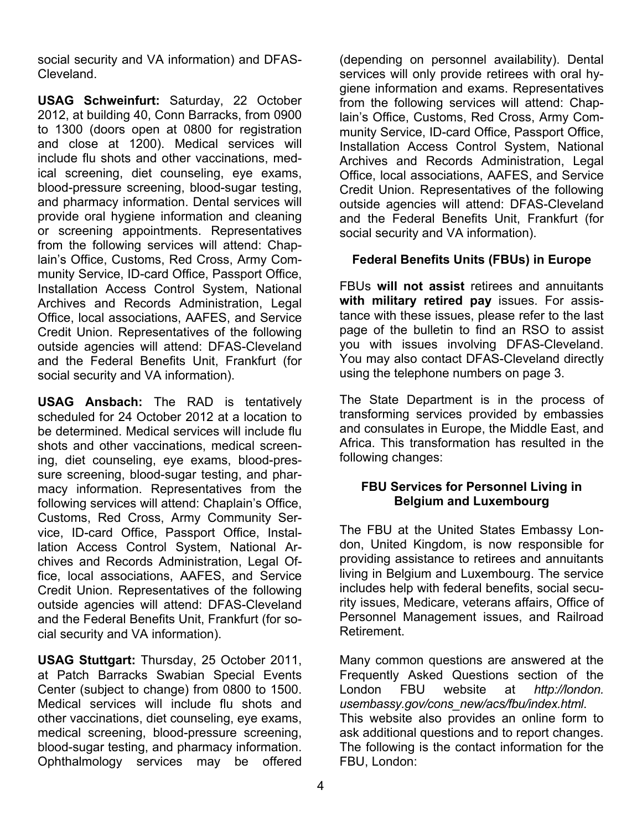social security and VA information) and DFAS-Cleveland.

**USAG Schweinfurt:** Saturday, 22 October 2012, at building 40, Conn Barracks, from 0900 to 1300 (doors open at 0800 for registration and close at 1200). Medical services will include flu shots and other vaccinations, medical screening, diet counseling, eye exams, blood-pressure screening, blood-sugar testing, and pharmacy information. Dental services will provide oral hygiene information and cleaning or screening appointments. Representatives from the following services will attend: Chaplain's Office, Customs, Red Cross, Army Community Service, ID-card Office, Passport Office, Installation Access Control System, National Archives and Records Administration, Legal Office, local associations, AAFES, and Service Credit Union. Representatives of the following outside agencies will attend: DFAS-Cleveland and the Federal Benefits Unit, Frankfurt (for social security and VA information).

**USAG Ansbach:** The RAD is tentatively scheduled for 24 October 2012 at a location to be determined. Medical services will include flu shots and other vaccinations, medical screening, diet counseling, eye exams, blood-pressure screening, blood-sugar testing, and pharmacy information. Representatives from the following services will attend: Chaplain's Office, Customs, Red Cross, Army Community Service, ID-card Office, Passport Office, Installation Access Control System, National Archives and Records Administration, Legal Office, local associations, AAFES, and Service Credit Union. Representatives of the following outside agencies will attend: DFAS-Cleveland and the Federal Benefits Unit, Frankfurt (for social security and VA information).

**USAG Stuttgart:** Thursday, 25 October 2011, at Patch Barracks Swabian Special Events Center (subject to change) from 0800 to 1500. Medical services will include flu shots and other vaccinations, diet counseling, eye exams, medical screening, blood-pressure screening, blood-sugar testing, and pharmacy information. Ophthalmology services may be offered

(depending on personnel availability). Dental services will only provide retirees with oral hygiene information and exams. Representatives from the following services will attend: Chaplain's Office, Customs, Red Cross, Army Community Service, ID-card Office, Passport Office, Installation Access Control System, National Archives and Records Administration, Legal Office, local associations, AAFES, and Service Credit Union. Representatives of the following outside agencies will attend: DFAS-Cleveland and the Federal Benefits Unit, Frankfurt (for social security and VA information).

### **Federal Benefits Units (FBUs) in Europe**

FBUs **will not assist** retirees and annuitants **with military retired pay** issues. For assistance with these issues, please refer to the last page of the bulletin to find an RSO to assist you with issues involving DFAS-Cleveland. You may also contact DFAS-Cleveland directly using the telephone numbers on page 3.

The State Department is in the process of transforming services provided by embassies and consulates in Europe, the Middle East, and Africa. This transformation has resulted in the following changes:

#### **FBU Services for Personnel Living in Belgium and Luxembourg**

The FBU at the United States Embassy London, United Kingdom, is now responsible for providing assistance to retirees and annuitants living in Belgium and Luxembourg. The service includes help with federal benefits, social security issues, Medicare, veterans affairs, Office of Personnel Management issues, and Railroad Retirement.

Many common questions are answered at the Frequently Asked Questions section of the London FBU website at *http://london. usembassy.gov/cons\_new/acs/fbu/index.html*. This website also provides an online form to ask additional questions and to report changes. The following is the contact information for the FBU, London: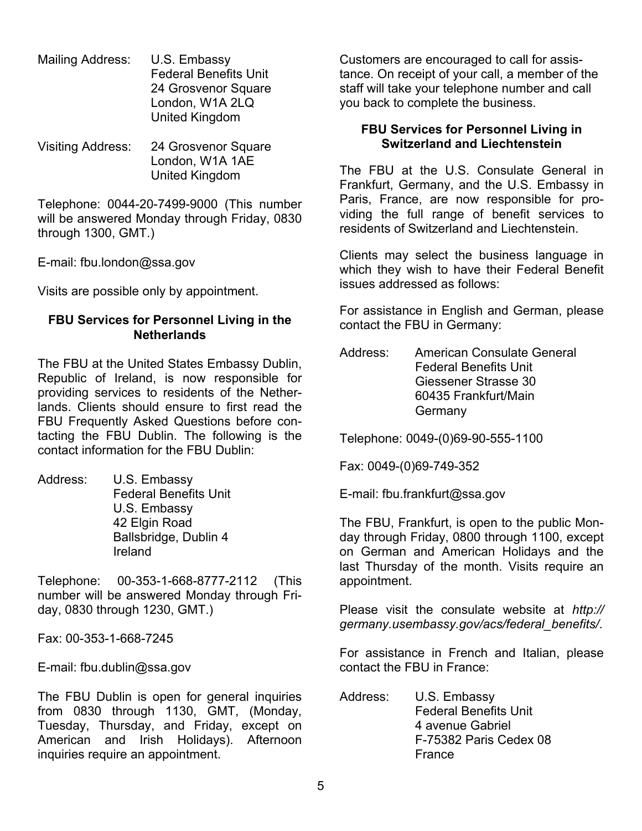- Mailing Address: U.S. Embassy Federal Benefits Unit 24 Grosvenor Square London, W1A 2LQ United Kingdom
- Visiting Address: 24 Grosvenor Square London, W1A 1AE United Kingdom

Telephone: 0044-20-7499-9000 (This number will be answered Monday through Friday, 0830 through 1300, GMT.)

E-mail: fbu.london@ssa.gov

Visits are possible only by appointment.

#### **FBU Services for Personnel Living in the Netherlands**

The FBU at the United States Embassy Dublin, Republic of Ireland, is now responsible for providing services to residents of the Netherlands. Clients should ensure to first read the FBU Frequently Asked Questions before contacting the FBU Dublin. The following is the contact information for the FBU Dublin:

Address: U.S. Embassy Federal Benefits Unit U.S. Embassy 42 Elgin Road Ballsbridge, Dublin 4 Ireland

Telephone: 00-353-1-668-8777-2112 (This number will be answered Monday through Friday, 0830 through 1230, GMT.)

Fax: 00-353-1-668-7245

E-mail: fbu.dublin@ssa.gov

The FBU Dublin is open for general inquiries from 0830 through 1130, GMT, (Monday, Tuesday, Thursday, and Friday, except on American and Irish Holidays). Afternoon inquiries require an appointment.

Customers are encouraged to call for assistance. On receipt of your call, a member of the staff will take your telephone number and call you back to complete the business.

#### **FBU Services for Personnel Living in Switzerland and Liechtenstein**

The FBU at the U.S. Consulate General in Frankfurt, Germany, and the U.S. Embassy in Paris, France, are now responsible for providing the full range of benefit services to residents of Switzerland and Liechtenstein.

Clients may select the business language in which they wish to have their Federal Benefit issues addressed as follows:

For assistance in English and German, please contact the FBU in Germany:

Address: American Consulate General Federal Benefits Unit Giessener Strasse 30 60435 Frankfurt/Main **Germany** 

Telephone: 0049-(0)69-90-555-1100

Fax: 0049-(0)69-749-352

E-mail: fbu.frankfurt@ssa.gov

The FBU, Frankfurt, is open to the public Monday through Friday, 0800 through 1100, except on German and American Holidays and the last Thursday of the month. Visits require an appointment.

Please visit the consulate website at *http:// germany.usembassy.gov/acs/federal\_benefits/*.

For assistance in French and Italian, please contact the FBU in France:

Address: U.S. Embassy Federal Benefits Unit 4 avenue Gabriel F-75382 Paris Cedex 08 France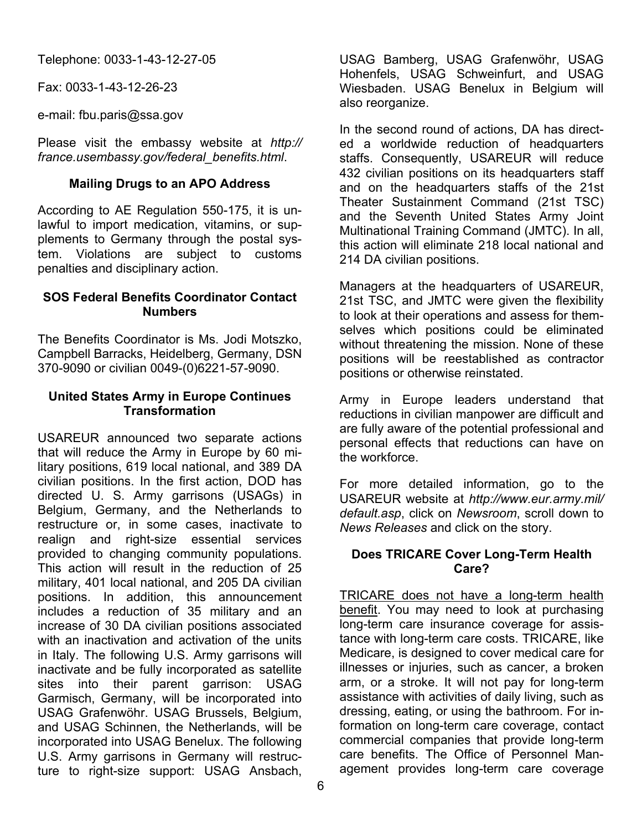Telephone: 0033-1-43-12-27-05

Fax: 0033-1-43-12-26-23

e-mail: fbu.paris@ssa.gov

Please visit the embassy website at *http:// france.usembassy.gov/federal\_benefits.html*.

#### **Mailing Drugs to an APO Address**

According to AE Regulation 550-175, it is unlawful to import medication, vitamins, or supplements to Germany through the postal system. Violations are subject to customs penalties and disciplinary action.

#### **SOS Federal Benefits Coordinator Contact Numbers**

The Benefits Coordinator is Ms. Jodi Motszko, Campbell Barracks, Heidelberg, Germany, DSN 370-9090 or civilian 0049-(0)6221-57-9090.

#### **United States Army in Europe Continues Transformation**

USAREUR announced two separate actions that will reduce the Army in Europe by 60 military positions, 619 local national, and 389 DA civilian positions. In the first action, DOD has directed U. S. Army garrisons (USAGs) in Belgium, Germany, and the Netherlands to restructure or, in some cases, inactivate to realign and right-size essential services provided to changing community populations. This action will result in the reduction of 25 military, 401 local national, and 205 DA civilian positions. In addition, this announcement includes a reduction of 35 military and an increase of 30 DA civilian positions associated with an inactivation and activation of the units in Italy. The following U.S. Army garrisons will inactivate and be fully incorporated as satellite sites into their parent garrison: USAG Garmisch, Germany, will be incorporated into USAG Grafenwöhr. USAG Brussels, Belgium, and USAG Schinnen, the Netherlands, will be incorporated into USAG Benelux. The following U.S. Army garrisons in Germany will restructure to right-size support: USAG Ansbach,

USAG Bamberg, USAG Grafenwöhr, USAG Hohenfels, USAG Schweinfurt, and USAG Wiesbaden. USAG Benelux in Belgium will also reorganize.

In the second round of actions, DA has directed a worldwide reduction of headquarters staffs. Consequently, USAREUR will reduce 432 civilian positions on its headquarters staff and on the headquarters staffs of the 21st Theater Sustainment Command (21st TSC) and the Seventh United States Army Joint Multinational Training Command (JMTC). In all, this action will eliminate 218 local national and 214 DA civilian positions.

Managers at the headquarters of USAREUR, 21st TSC, and JMTC were given the flexibility to look at their operations and assess for themselves which positions could be eliminated without threatening the mission. None of these positions will be reestablished as contractor positions or otherwise reinstated.

Army in Europe leaders understand that reductions in civilian manpower are difficult and are fully aware of the potential professional and personal effects that reductions can have on the workforce.

For more detailed information, go to the USAREUR website at *http://www.eur.army.mil/ default.asp*, click on *Newsroom*, scroll down to *News Releases* and click on the story.

#### **Does TRICARE Cover Long-Term Health Care?**

TRICARE does not have a long-term health benefit. You may need to look at purchasing long-term care insurance coverage for assistance with long-term care costs. TRICARE, like Medicare, is designed to cover medical care for illnesses or injuries, such as cancer, a broken arm, or a stroke. It will not pay for long-term assistance with activities of daily living, such as dressing, eating, or using the bathroom. For information on long-term care coverage, contact commercial companies that provide long-term care benefits. The Office of Personnel Management provides long-term care coverage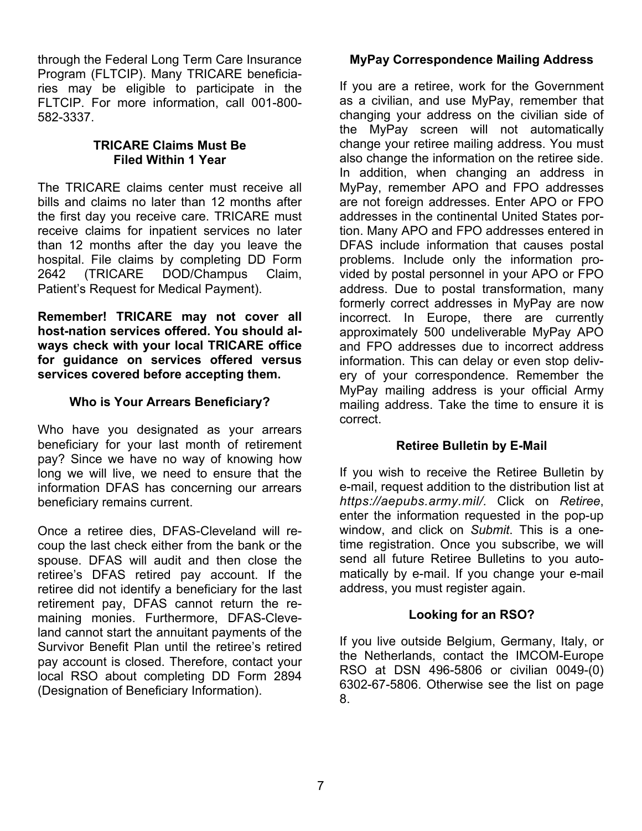through the Federal Long Term Care Insurance Program (FLTCIP). Many TRICARE beneficiaries may be eligible to participate in the FLTCIP. For more information, call 001-800- 582-3337.

### **TRICARE Claims Must Be Filed Within 1 Year**

The TRICARE claims center must receive all bills and claims no later than 12 months after the first day you receive care. TRICARE must receive claims for inpatient services no later than 12 months after the day you leave the hospital. File claims by completing DD Form 2642 (TRICARE DOD/Champus Claim, Patient's Request for Medical Payment).

**Remember! TRICARE may not cover all host-nation services offered. You should always check with your local TRICARE office for guidance on services offered versus services covered before accepting them.** 

### **Who is Your Arrears Beneficiary?**

Who have you designated as your arrears beneficiary for your last month of retirement pay? Since we have no way of knowing how long we will live, we need to ensure that the information DFAS has concerning our arrears beneficiary remains current.

Once a retiree dies, DFAS-Cleveland will recoup the last check either from the bank or the spouse. DFAS will audit and then close the retiree's DFAS retired pay account. If the retiree did not identify a beneficiary for the last retirement pay, DFAS cannot return the remaining monies. Furthermore, DFAS-Cleveland cannot start the annuitant payments of the Survivor Benefit Plan until the retiree's retired pay account is closed. Therefore, contact your local RSO about completing DD Form 2894 (Designation of Beneficiary Information).

### **MyPay Correspondence Mailing Address**

If you are a retiree, work for the Government as a civilian, and use MyPay, remember that changing your address on the civilian side of the MyPay screen will not automatically change your retiree mailing address. You must also change the information on the retiree side. In addition, when changing an address in MyPay, remember APO and FPO addresses are not foreign addresses. Enter APO or FPO addresses in the continental United States portion. Many APO and FPO addresses entered in DFAS include information that causes postal problems. Include only the information provided by postal personnel in your APO or FPO address. Due to postal transformation, many formerly correct addresses in MyPay are now incorrect. In Europe, there are currently approximately 500 undeliverable MyPay APO and FPO addresses due to incorrect address information. This can delay or even stop delivery of your correspondence. Remember the MyPay mailing address is your official Army mailing address. Take the time to ensure it is correct.

### **Retiree Bulletin by E-Mail**

If you wish to receive the Retiree Bulletin by e-mail, request addition to the distribution list at *https://aepubs.army.mil/.* Click on *Retiree*, enter the information requested in the pop-up window, and click on *Submit*. This is a onetime registration. Once you subscribe, we will send all future Retiree Bulletins to you automatically by e-mail. If you change your e-mail address, you must register again.

### **Looking for an RSO?**

If you live outside Belgium, Germany, Italy, or the Netherlands, contact the IMCOM-Europe RSO at DSN 496-5806 or civilian 0049-(0) 6302-67-5806. Otherwise see the list on page 8.